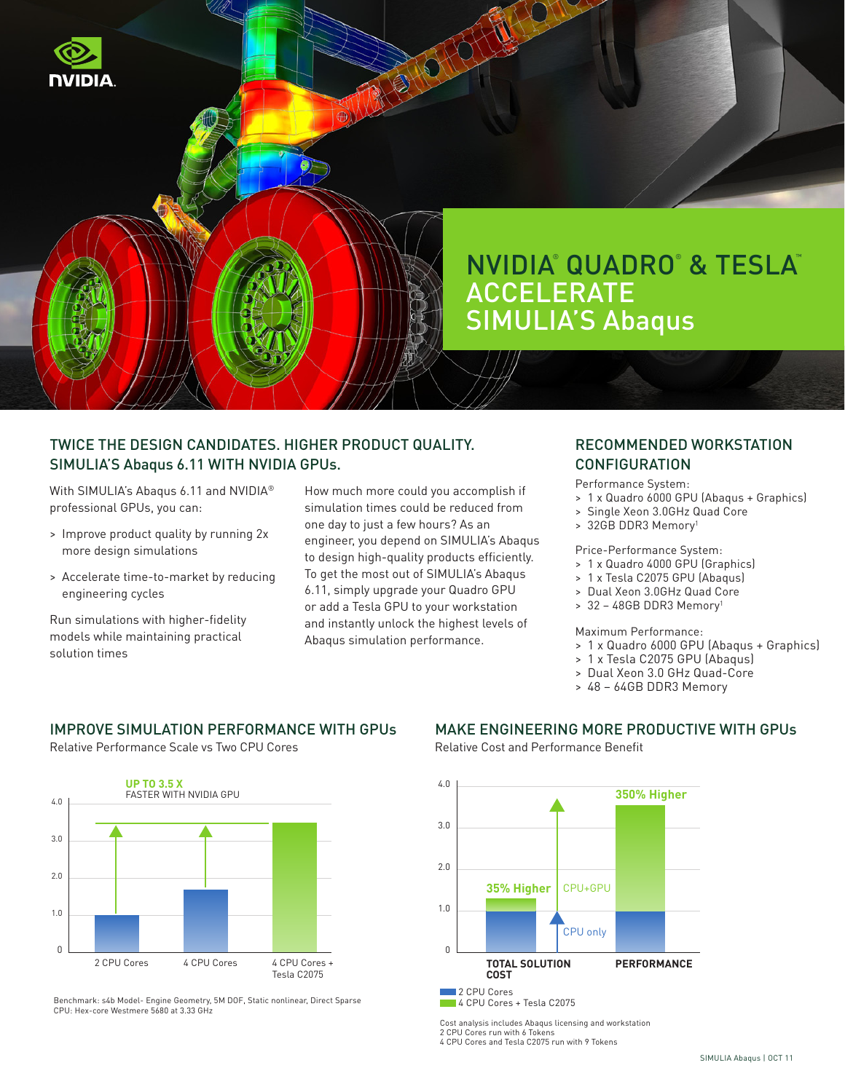

# TWICE THE DESIGN CANDIDATES. HIGHER PRODUCT QUALITY. SIMULIA'S Abaqus 6.11 WITH NVIDIA GPUs.

With SIMULIA's Abaqus 6.11 and NVIDIA® professional GPUs, you can:

- > Improve product quality by running 2x more design simulations
- > Accelerate time-to-market by reducing engineering cycles

Run simulations with higher-fidelity models while maintaining practical solution times

How much more could you accomplish if simulation times could be reduced from one day to just a few hours? As an engineer, you depend on SIMULIA's Abaqus to design high-quality products efficiently. To get the most out of SIMULIA's Abaqus 6.11, simply upgrade your Quadro GPU or add a Tesla GPU to your workstation and instantly unlock the highest levels of Abaqus simulation performance.

## RECOMMENDED WORKSTATION **CONFIGURATION**

Performance System:

- > 1 x Quadro 6000 GPU (Abaqus + Graphics)
- > Single Xeon 3.0GHz Quad Core
- > 32GB DDR3 Memory1

Price-Performance System:

- > 1 x Quadro 4000 GPU (Graphics)
- > 1 x Tesla C2075 GPU (Abaqus)
- > Dual Xeon 3.0GHz Quad Core
- > 32 48GB DDR3 Memory1

### Maximum Performance:

- > 1 x Quadro 6000 GPU (Abaqus + Graphics)
- > 1 x Tesla C2075 GPU (Abaqus)
- > Dual Xeon 3.0 GHz Quad-Core
- > 48 64GB DDR3 Memory

# IMPROVE SIMULATION PERFORMANCE WITH GPUs

Relative Performance Scale vs Two CPU Cores



Benchmark: s4b Model- Engine Geometry, 5M DOF, Static nonlinear, Direct Sparse CPU: Hex-core Westmere 5680 at 3.33 GHz

## MAKE ENGINEERING MORE PRODUCTIVE WITH GPUs

Relative Cost and Performance Benefit



Cost analysis includes Abaqus licensing and workstation 2 CPU Cores run with 6 Tokens 4 CPU Cores and Tesla C2075 run with 9 Tokens